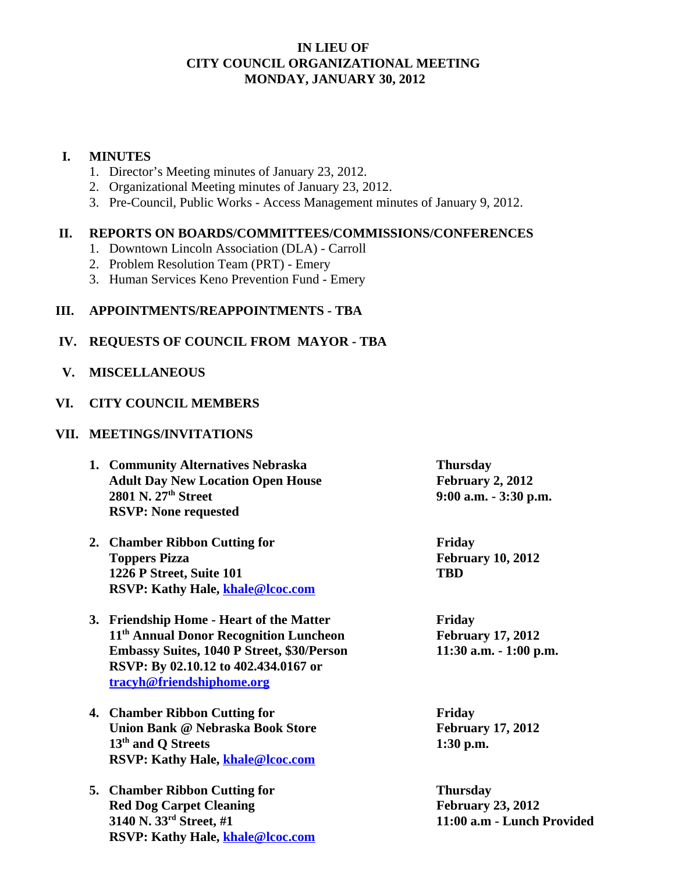## **IN LIEU OF CITY COUNCIL ORGANIZATIONAL MEETING MONDAY, JANUARY 30, 2012**

## **I. MINUTES**

- 1. Director's Meeting minutes of January 23, 2012.
- 2. Organizational Meeting minutes of January 23, 2012.
- 3. Pre-Council, Public Works Access Management minutes of January 9, 2012.

# **II. REPORTS ON BOARDS/COMMITTEES/COMMISSIONS/CONFERENCES**

- 1. Downtown Lincoln Association (DLA) Carroll
- 2. Problem Resolution Team (PRT) Emery
- 3. Human Services Keno Prevention Fund Emery

## **III. APPOINTMENTS/REAPPOINTMENTS - TBA**

#### **IV. REQUESTS OF COUNCIL FROM MAYOR - TBA**

 **V. MISCELLANEOUS** 

#### **VI. CITY COUNCIL MEMBERS**

#### **VII. MEETINGS/INVITATIONS**

- **1. Community Alternatives Nebraska Thursday** Adult Day New Location Open House February 2, 2012 **2801 N. 27th Street 9:00 a.m. - 3:30 p.m. RSVP: None requested**
- **2. Chamber Ribbon Cutting for Friday Toppers Pizza** February 10, 2012 **1226 P Street, Suite 101 TBD RSVP: Kathy Hale, khale@lcoc.com**
- **3. Friendship Home Heart of the Matter Friday 11th Annual Donor Recognition Luncheon February 17, 2012 Embassy Suites, 1040 P Street, \$30/Person 11:30 a.m. - 1:00 p.m. RSVP: By 02.10.12 to 402.434.0167 or tracyh@friendshiphome.org**
- **4. Chamber Ribbon Cutting for Friday Union Bank @ Nebraska Book Store February 17, 2012 13<sup>th</sup> and Q Streets** 1:30 p.m. **RSVP: Kathy Hale, khale@lcoc.com**
- **5. Chamber Ribbon Cutting for Thursday Red Dog Carpet Cleaning February 23, 2012**<br> **Red Dog Carpet Cleaning February 23, 2012**<br> **February 23, 2012**<br> **February 23, 2012 RSVP: Kathy Hale, khale@lcoc.com**

**3140 N. 33rd Street, #1 11:00 a.m - Lunch Provided**